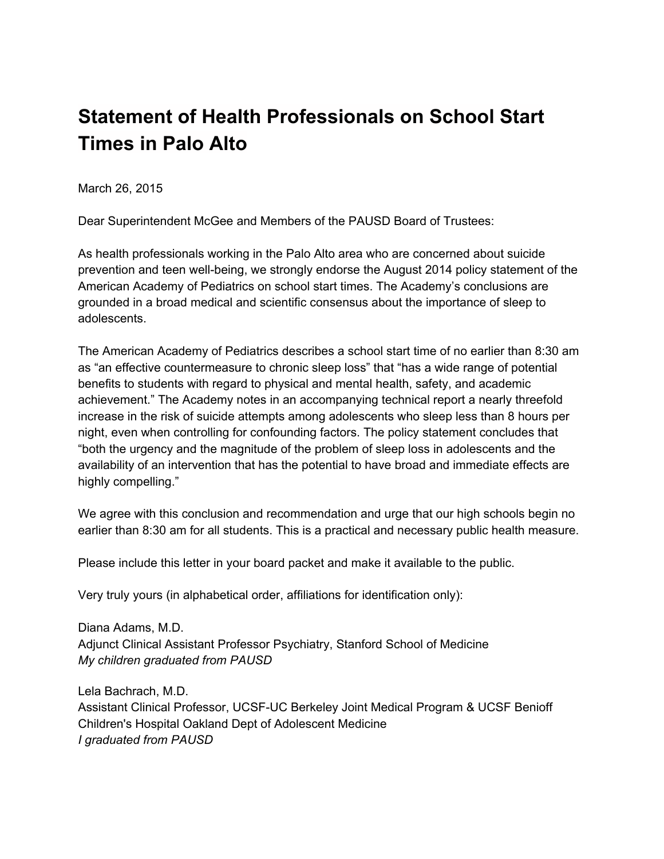## **Statement of Health Professionals on School Start Times in Palo Alto**

March 26, 2015

Dear Superintendent McGee and Members of the PAUSD Board of Trustees:

As health professionals working in the Palo Alto area who are concerned about suicide prevention and teen well-being, we strongly endorse the August 2014 policy statement of the American Academy of Pediatrics on school start times. The Academy's conclusions are grounded in a broad medical and scientific consensus about the importance of sleep to adolescents.

The American Academy of Pediatrics describes a school start time of no earlier than 8:30 am as "an effective countermeasure to chronic sleep loss" that "has a wide range of potential benefits to students with regard to physical and mental health, safety, and academic achievement." The Academy notes in an accompanying technical report a nearly threefold increase in the risk of suicide attempts among adolescents who sleep less than 8 hours per night, even when controlling for confounding factors. The policy statement concludes that "both the urgency and the magnitude of the problem of sleep loss in adolescents and the availability of an intervention that has the potential to have broad and immediate effects are highly compelling."

We agree with this conclusion and recommendation and urge that our high schools begin no earlier than 8:30 am for all students. This is a practical and necessary public health measure.

Please include this letter in your board packet and make it available to the public.

Very truly yours (in alphabetical order, affiliations for identification only):

Diana Adams, M.D. Adjunct Clinical Assistant Professor Psychiatry, Stanford School of Medicine *My children graduated from PAUSD*

Lela Bachrach, M.D. Assistant Clinical Professor, UCSF-UC Berkeley Joint Medical Program & UCSF Benioff Children's Hospital Oakland Dept of Adolescent Medicine *I graduated from PAUSD*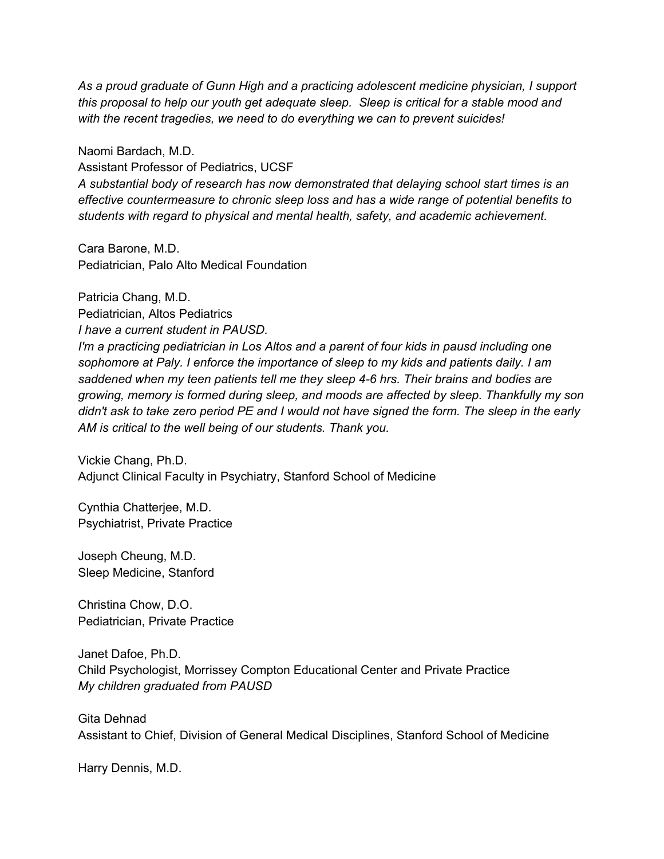*As a proud graduate of Gunn High and a practicing adolescent medicine physician, I support this proposal to help our youth get adequate sleep. Sleep is critical for a stable mood and with the recent tragedies, we need to do everything we can to prevent suicides!*

Naomi Bardach, M.D. Assistant Professor of Pediatrics, UCSF *A substantial body of research has now demonstrated that delaying school start times is an effective countermeasure to chronic sleep loss and has a wide range of potential benefits to students with regard to physical and mental health, safety, and academic achievement.*

Cara Barone, M.D. Pediatrician, Palo Alto Medical Foundation

Patricia Chang, M.D. Pediatrician, Altos Pediatrics *I have a current student in PAUSD. I'm a practicing pediatrician in Los Altos and a parent of four kids in pausd including one sophomore at Paly. I enforce the importance of sleep to my kids and patients daily. I am saddened when my teen patients tell me they sleep 46 hrs. Their brains and bodies are growing, memory is formed during sleep, and moods are affected by sleep. Thankfully my son* didn't ask to take zero period PE and I would not have signed the form. The sleep in the early *AM is critical to the well being of our students. Thank you.*

Vickie Chang, Ph.D. Adjunct Clinical Faculty in Psychiatry, Stanford School of Medicine

Cynthia Chatterjee, M.D. Psychiatrist, Private Practice

Joseph Cheung, M.D. Sleep Medicine, Stanford

Christina Chow, D.O. Pediatrician, Private Practice

Janet Dafoe, Ph.D. Child Psychologist, Morrissey Compton Educational Center and Private Practice *My children graduated from PAUSD*

Gita Dehnad Assistant to Chief, Division of General Medical Disciplines, Stanford School of Medicine

Harry Dennis, M.D.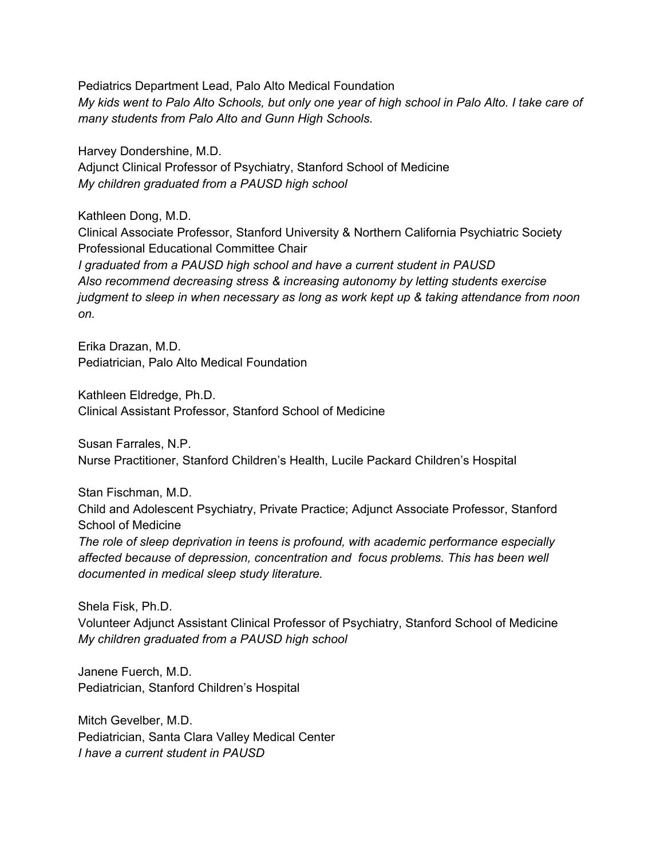Pediatrics Department Lead, Palo Alto Medical Foundation My kids went to Palo Alto Schools, but only one year of high school in Palo Alto. I take care of *many students from Palo Alto and Gunn High Schools.*

Harvey Dondershine, M.D.

Adjunct Clinical Professor of Psychiatry, Stanford School of Medicine *My children graduated from a PAUSD high school*

Kathleen Dong, M.D.

Clinical Associate Professor, Stanford University & Northern California Psychiatric Society Professional Educational Committee Chair *I graduated from a PAUSD high school and have a current student in PAUSD Also recommend decreasing stress & increasing autonomy by letting students exercise judgment to sleep in when necessary as long as work kept up & taking attendance from noon on.*

Erika Drazan, M.D. Pediatrician, Palo Alto Medical Foundation

Kathleen Eldredge, Ph.D. Clinical Assistant Professor, Stanford School of Medicine

Susan Farrales, N.P. Nurse Practitioner, Stanford Children's Health, Lucile Packard Children's Hospital

Stan Fischman, M.D.

Child and Adolescent Psychiatry, Private Practice; Adjunct Associate Professor, Stanford School of Medicine

*The role of sleep deprivation in teens is profound, with academic performance especially affected because of depression, concentration and focus problems. This has been well documented in medical sleep study literature.*

Shela Fisk, Ph.D. Volunteer Adjunct Assistant Clinical Professor of Psychiatry, Stanford School of Medicine *My children graduated from a PAUSD high school*

Janene Fuerch, M.D. Pediatrician, Stanford Children's Hospital

Mitch Gevelber, M.D. Pediatrician, Santa Clara Valley Medical Center *I have a current student in PAUSD*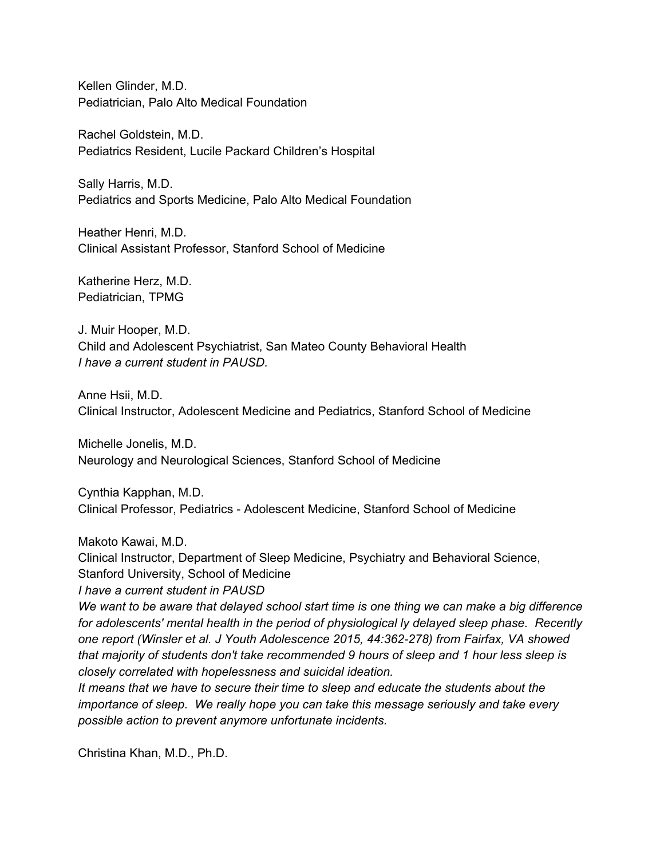Kellen Glinder, M.D. Pediatrician, Palo Alto Medical Foundation

Rachel Goldstein, M.D. Pediatrics Resident, Lucile Packard Children's Hospital

Sally Harris, M.D. Pediatrics and Sports Medicine, Palo Alto Medical Foundation

Heather Henri, M.D. Clinical Assistant Professor, Stanford School of Medicine

Katherine Herz, M.D. Pediatrician, TPMG

J. Muir Hooper, M.D. Child and Adolescent Psychiatrist, San Mateo County Behavioral Health *I have a current student in PAUSD.*

Anne Hsii, M.D. Clinical Instructor, Adolescent Medicine and Pediatrics, Stanford School of Medicine

Michelle Jonelis, M.D. Neurology and Neurological Sciences, Stanford School of Medicine

Cynthia Kapphan, M.D. Clinical Professor, Pediatrics Adolescent Medicine, Stanford School of Medicine

Makoto Kawai, M.D.

Clinical Instructor, Department of Sleep Medicine, Psychiatry and Behavioral Science, Stanford University, School of Medicine

*I have a current student in PAUSD*

We want to be aware that delayed school start time is one thing we can make a big difference *for adolescents' mental health in the period of physiological ly delayed sleep phase. Recently one report (Winsler et al. J Youth Adolescence 2015, 44:362278) from Fairfax, VA showed that majority of students don't take recommended 9 hours of sleep and 1 hour less sleep is closely correlated with hopelessness and suicidal ideation.*

*It means that we have to secure their time to sleep and educate the students about the importance of sleep. We really hope you can take this message seriously and take every possible action to prevent anymore unfortunate incidents.*

Christina Khan, M.D., Ph.D.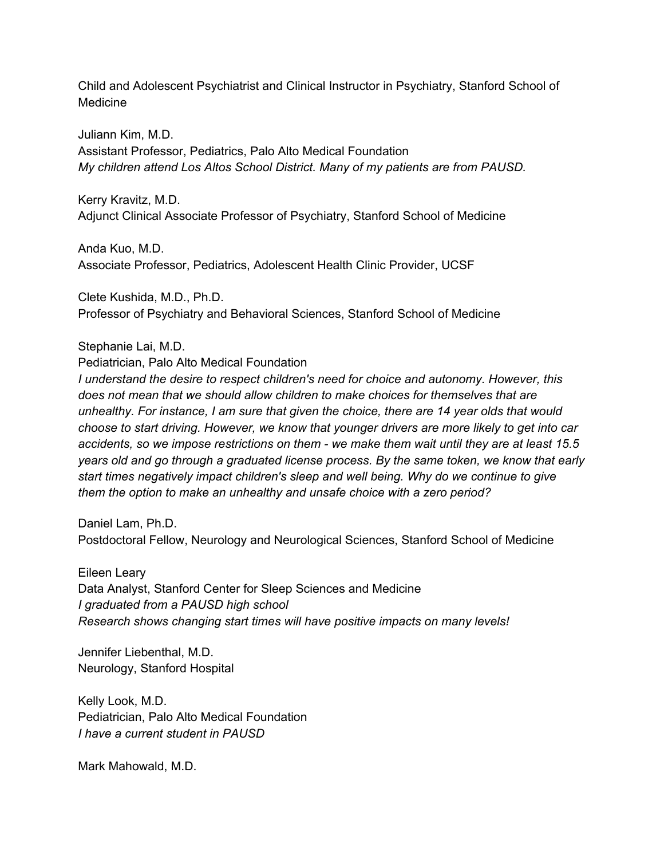Child and Adolescent Psychiatrist and Clinical Instructor in Psychiatry, Stanford School of Medicine

Juliann Kim, M.D. Assistant Professor, Pediatrics, Palo Alto Medical Foundation *My children attend Los Altos School District. Many of my patients are from PAUSD.*

Kerry Kravitz, M.D. Adjunct Clinical Associate Professor of Psychiatry, Stanford School of Medicine

Anda Kuo, M.D. Associate Professor, Pediatrics, Adolescent Health Clinic Provider, UCSF

Clete Kushida, M.D., Ph.D. Professor of Psychiatry and Behavioral Sciences, Stanford School of Medicine

Stephanie Lai, M.D.

Pediatrician, Palo Alto Medical Foundation

*I understand the desire to respect children's need for choice and autonomy. However, this does not mean that we should allow children to make choices for themselves that are unhealthy. For instance, I am sure that given the choice, there are 14 year olds that would choose to start driving. However, we know that younger drivers are more likely to get into car accidents, so we impose restrictions on them we make them wait until they are at least 15.5 years old and go through a graduated license process. By the same token, we know that early start times negatively impact children's sleep and well being. Why do we continue to give them the option to make an unhealthy and unsafe choice with a zero period?*

Daniel Lam, Ph.D. Postdoctoral Fellow, Neurology and Neurological Sciences, Stanford School of Medicine

Eileen Leary Data Analyst, Stanford Center for Sleep Sciences and Medicine *I graduated from a PAUSD high school Research shows changing start times will have positive impacts on many levels!*

Jennifer Liebenthal, M.D. Neurology, Stanford Hospital

Kelly Look, M.D. Pediatrician, Palo Alto Medical Foundation *I have a current student in PAUSD*

Mark Mahowald, M.D.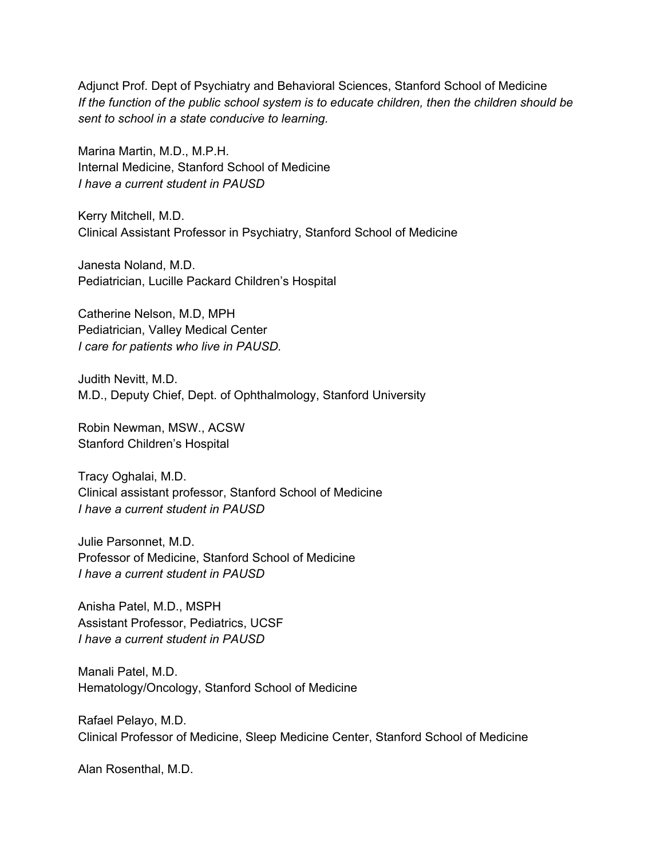Adjunct Prof. Dept of Psychiatry and Behavioral Sciences, Stanford School of Medicine *If the function of the public school system is to educate children, then the children should be sent to school in a state conducive to learning.*

Marina Martin, M.D., M.P.H. Internal Medicine, Stanford School of Medicine *I have a current student in PAUSD*

Kerry Mitchell, M.D. Clinical Assistant Professor in Psychiatry, Stanford School of Medicine

Janesta Noland, M.D. Pediatrician, Lucille Packard Children's Hospital

Catherine Nelson, M.D, MPH Pediatrician, Valley Medical Center *I care for patients who live in PAUSD.*

Judith Nevitt, M.D. M.D., Deputy Chief, Dept. of Ophthalmology, Stanford University

Robin Newman, MSW., ACSW Stanford Children's Hospital

Tracy Oghalai, M.D. Clinical assistant professor, Stanford School of Medicine *I have a current student in PAUSD*

Julie Parsonnet, M.D. Professor of Medicine, Stanford School of Medicine *I have a current student in PAUSD*

Anisha Patel, M.D., MSPH Assistant Professor, Pediatrics, UCSF *I have a current student in PAUSD*

Manali Patel, M.D. Hematology/Oncology, Stanford School of Medicine

Rafael Pelayo, M.D. Clinical Professor of Medicine, Sleep Medicine Center, Stanford School of Medicine

Alan Rosenthal, M.D.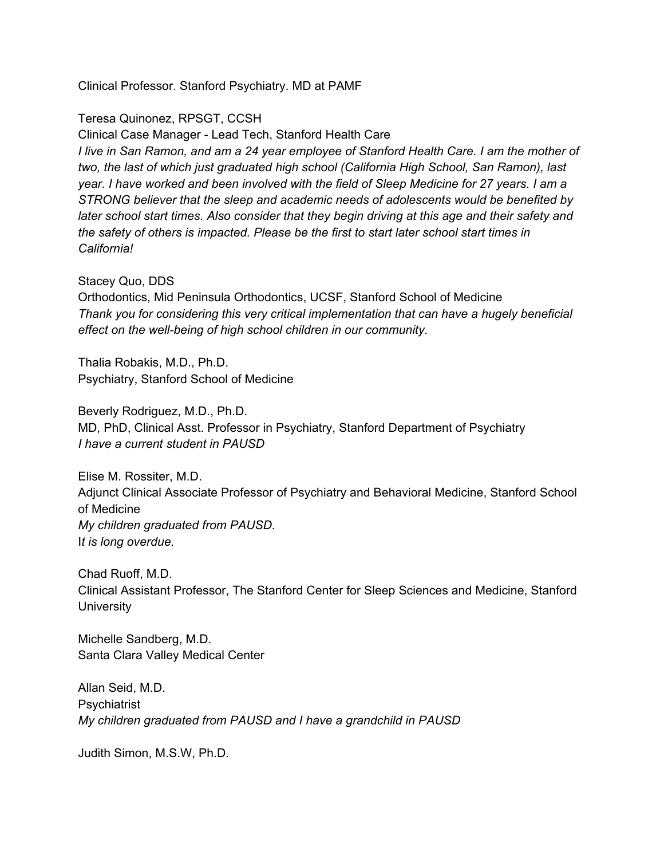Clinical Professor. Stanford Psychiatry. MD at PAMF

Teresa Quinonez, RPSGT, CCSH

Clinical Case Manager Lead Tech, Stanford Health Care I live in San Ramon, and am a 24 year employee of Stanford Health Care. I am the mother of *two, the last of which just graduated high school (California High School, San Ramon), last year. I have worked and been involved with the field of Sleep Medicine for 27 years. I am a STRONG believer that the sleep and academic needs of adolescents would be benefited by later school start times. Also consider that they begin driving at this age and their safety and the safety of others is impacted. Please be the first to start later school start times in California!*

Stacey Quo, DDS

Orthodontics, Mid Peninsula Orthodontics, UCSF, Stanford School of Medicine *Thank you for considering this very critical implementation that can have a hugely beneficial effect* on the well-being of high school children in our community.

Thalia Robakis, M.D., Ph.D. Psychiatry, Stanford School of Medicine

Beverly Rodriguez, M.D., Ph.D. MD, PhD, Clinical Asst. Professor in Psychiatry, Stanford Department of Psychiatry *I have a current student in PAUSD*

Elise M. Rossiter, M.D. Adjunct Clinical Associate Professor of Psychiatry and Behavioral Medicine, Stanford School of Medicine *My children graduated from PAUSD.* I*t is long overdue.*

Chad Ruoff, M.D. Clinical Assistant Professor, The Stanford Center for Sleep Sciences and Medicine, Stanford **University** 

Michelle Sandberg, M.D. Santa Clara Valley Medical Center

Allan Seid, M.D. **Psychiatrist** *My children graduated from PAUSD and I have a grandchild in PAUSD*

Judith Simon, M.S.W, Ph.D.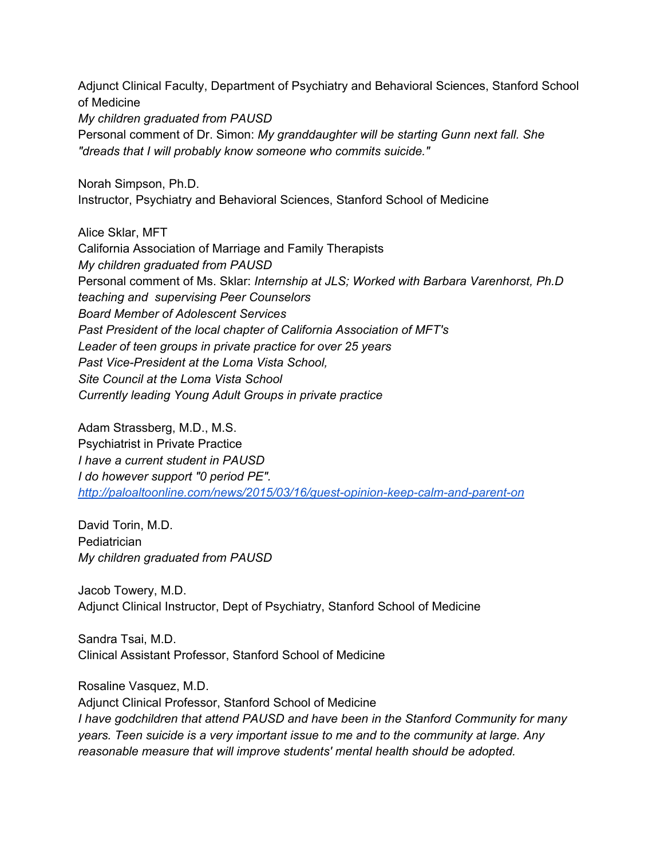Adjunct Clinical Faculty, Department of Psychiatry and Behavioral Sciences, Stanford School of Medicine *My children graduated from PAUSD* Personal comment of Dr. Simon: *My granddaughter will be starting Gunn next fall. She "dreads that I will probably know someone who commits suicide."*

Norah Simpson, Ph.D. Instructor, Psychiatry and Behavioral Sciences, Stanford School of Medicine

Alice Sklar, MFT California Association of Marriage and Family Therapists *My children graduated from PAUSD* Personal comment of Ms. Sklar: *Internship at JLS; Worked with Barbara Varenhorst, Ph.D teaching and supervising Peer Counselors Board Member of Adolescent Services Past President of the local chapter of California Association of MFT's Leader of teen groups in private practice for over 25 years Past Vice-President* at the Loma *Vista School*, *Site Council at the Loma Vista School Currently leading Young Adult Groups in private practice*

Adam Strassberg, M.D., M.S. Psychiatrist in Private Practice *I have a current student in PAUSD I do however support "0 period PE".* http://paloaltoonline.com/news/2015/03/16/guest-opinion-keep-calm-and-parent-on

David Torin, M.D. **Pediatrician** *My children graduated from PAUSD*

Jacob Towery, M.D. Adjunct Clinical Instructor, Dept of Psychiatry, Stanford School of Medicine

Sandra Tsai, M.D. Clinical Assistant Professor, Stanford School of Medicine

Rosaline Vasquez, M.D. Adjunct Clinical Professor, Stanford School of Medicine *I have godchildren that attend PAUSD and have been in the Stanford Community for many years. Teen suicide is a very important issue to me and to the community at large. Any reasonable measure that will improve students' mental health should be adopted.*